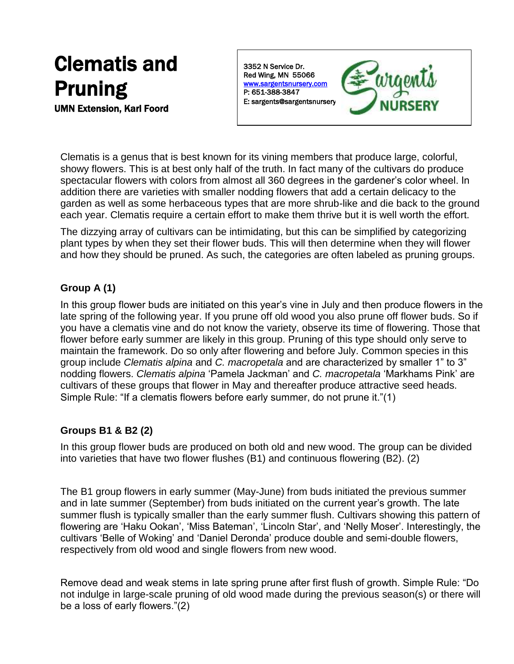# Clematis and Pruning

UMN Extension, Karl Foord

3352 N Service Dr. Red Wing, MN 55066 [www.sargentsnursery.com](http://www.sargentsnursery.com/)  P: 651-388-3847 E: sargents@sargentsnursery



Clematis is a genus that is best known for its vining members that produce large, colorful, showy flowers. This is at best only half of the truth. In fact many of the cultivars do produce spectacular flowers with colors from almost all 360 degrees in the gardener's color wheel. In addition there are varieties with smaller nodding flowers that add a certain delicacy to the garden as well as some herbaceous types that are more shrub-like and die back to the ground each year. Clematis require a certain effort to make them thrive but it is well worth the effort.

The dizzying array of cultivars can be intimidating, but this can be simplified by categorizing plant types by when they set their flower buds. This will then determine when they will flower and how they should be pruned. As such, the categories are often labeled as pruning groups.

## **Group A (1)**

In this group flower buds are initiated on this year's vine in July and then produce flowers in the late spring of the following year. If you prune off old wood you also prune off flower buds. So if you have a clematis vine and do not know the variety, observe its time of flowering. Those that flower before early summer are likely in this group. Pruning of this type should only serve to maintain the framework. Do so only after flowering and before July. Common species in this group include *Clematis alpina* and *C. macropetala* and are characterized by smaller 1" to 3" nodding flowers. *Clematis alpina* 'Pamela Jackman' and *C. macropetala* 'Markhams Pink' are cultivars of these groups that flower in May and thereafter produce attractive seed heads. Simple Rule: "If a clematis flowers before early summer, do not prune it."(1)

# **Groups B1 & B2 (2)**

In this group flower buds are produced on both old and new wood. The group can be divided into varieties that have two flower flushes (B1) and continuous flowering (B2). (2)

The B1 group flowers in early summer (May-June) from buds initiated the previous summer and in late summer (September) from buds initiated on the current year's growth. The late summer flush is typically smaller than the early summer flush. Cultivars showing this pattern of flowering are 'Haku Ookan', 'Miss Bateman', 'Lincoln Star', and 'Nelly Moser'. Interestingly, the cultivars 'Belle of Woking' and 'Daniel Deronda' produce double and semi-double flowers, respectively from old wood and single flowers from new wood.

Remove dead and weak stems in late spring prune after first flush of growth. Simple Rule: "Do not indulge in large-scale pruning of old wood made during the previous season(s) or there will be a loss of early flowers."(2)